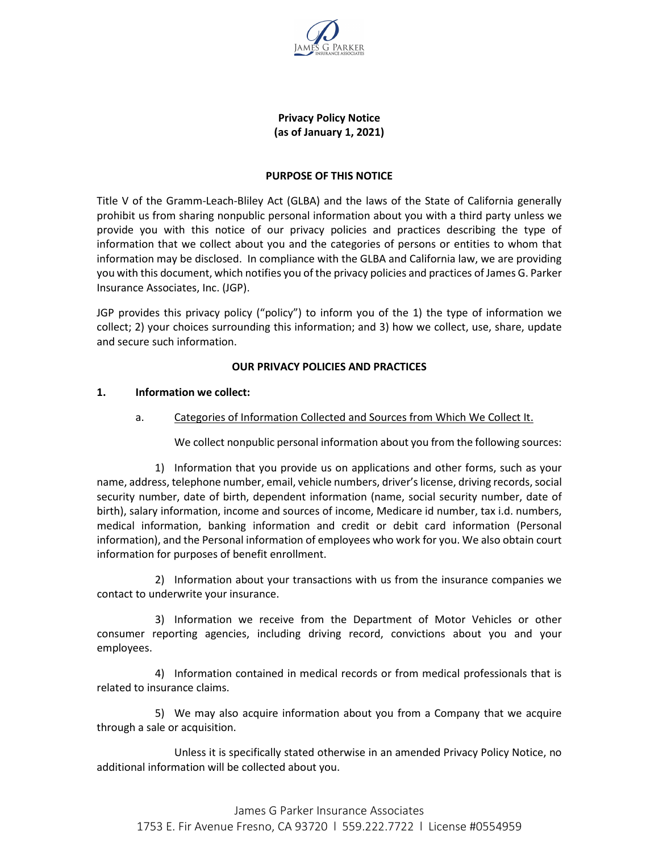

## **Privacy Policy Notice (as of January 1, 2021)**

#### **PURPOSE OF THIS NOTICE**

Title V of the Gramm-Leach-Bliley Act (GLBA) and the laws of the State of California generally prohibit us from sharing nonpublic personal information about you with a third party unless we provide you with this notice of our privacy policies and practices describing the type of information that we collect about you and the categories of persons or entities to whom that information may be disclosed. In compliance with the GLBA and California law, we are providing you with this document, which notifies you of the privacy policies and practices of James G. Parker Insurance Associates, Inc. (JGP).

JGP provides this privacy policy ("policy") to inform you of the 1) the type of information we collect; 2) your choices surrounding this information; and 3) how we collect, use, share, update and secure such information.

#### **OUR PRIVACY POLICIES AND PRACTICES**

#### **1. Information we collect:**

#### a. Categories of Information Collected and Sources from Which We Collect It.

We collect nonpublic personal information about you from the following sources:

1) Information that you provide us on applications and other forms, such as your name, address, telephone number, email, vehicle numbers, driver's license, driving records, social security number, date of birth, dependent information (name, social security number, date of birth), salary information, income and sources of income, Medicare id number, tax i.d. numbers, medical information, banking information and credit or debit card information (Personal information), and the Personal information of employees who work for you. We also obtain court information for purposes of benefit enrollment.

2) Information about your transactions with us from the insurance companies we contact to underwrite your insurance.

3) Information we receive from the Department of Motor Vehicles or other consumer reporting agencies, including driving record, convictions about you and your employees.

4) Information contained in medical records or from medical professionals that is related to insurance claims.

5) We may also acquire information about you from a Company that we acquire through a sale or acquisition.

Unless it is specifically stated otherwise in an amended Privacy Policy Notice, no additional information will be collected about you.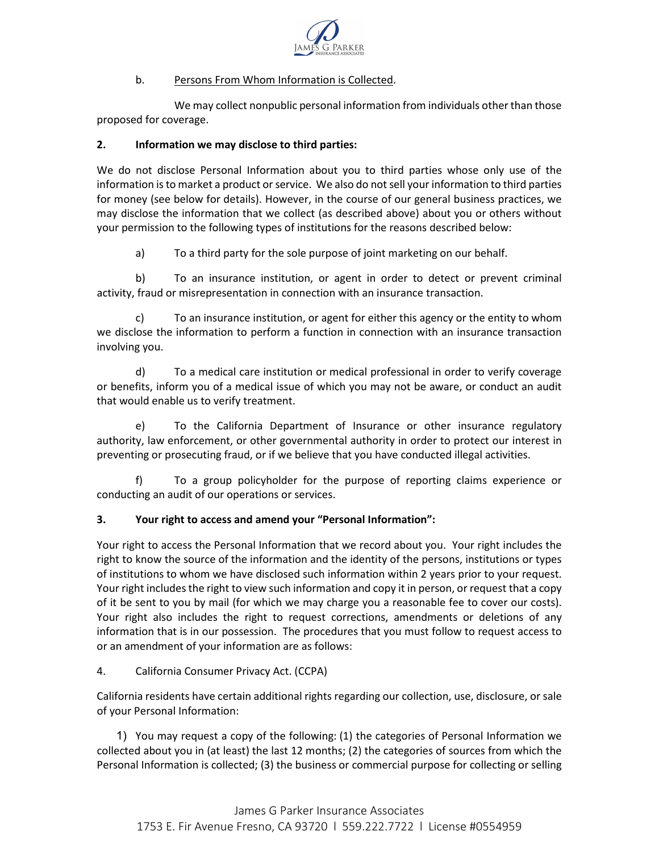

# b. Persons From Whom Information is Collected.

We may collect nonpublic personal information from individuals other than those proposed for coverage.

## **2. Information we may disclose to third parties:**

We do not disclose Personal Information about you to third parties whose only use of the information is to market a product or service. We also do not sell your information to third parties for money (see below for details). However, in the course of our general business practices, we may disclose the information that we collect (as described above) about you or others without your permission to the following types of institutions for the reasons described below:

a) To a third party for the sole purpose of joint marketing on our behalf.

b) To an insurance institution, or agent in order to detect or prevent criminal activity, fraud or misrepresentation in connection with an insurance transaction.

c) To an insurance institution, or agent for either this agency or the entity to whom we disclose the information to perform a function in connection with an insurance transaction involving you.

d) To a medical care institution or medical professional in order to verify coverage or benefits, inform you of a medical issue of which you may not be aware, or conduct an audit that would enable us to verify treatment.

e) To the California Department of Insurance or other insurance regulatory authority, law enforcement, or other governmental authority in order to protect our interest in preventing or prosecuting fraud, or if we believe that you have conducted illegal activities.

f) To a group policyholder for the purpose of reporting claims experience or conducting an audit of our operations or services.

# **3. Your right to access and amend your "Personal Information":**

Your right to access the Personal Information that we record about you. Your right includes the right to know the source of the information and the identity of the persons, institutions or types of institutions to whom we have disclosed such information within 2 years prior to your request. Your right includes the right to view such information and copy it in person, or request that a copy of it be sent to you by mail (for which we may charge you a reasonable fee to cover our costs). Your right also includes the right to request corrections, amendments or deletions of any information that is in our possession. The procedures that you must follow to request access to or an amendment of your information are as follows:

#### 4. California Consumer Privacy Act. (CCPA)

California residents have certain additional rights regarding our collection, use, disclosure, or sale of your Personal Information:

1) You may request a copy of the following: (1) the categories of Personal Information we collected about you in (at least) the last 12 months; (2) the categories of sources from which the Personal Information is collected; (3) the business or commercial purpose for collecting or selling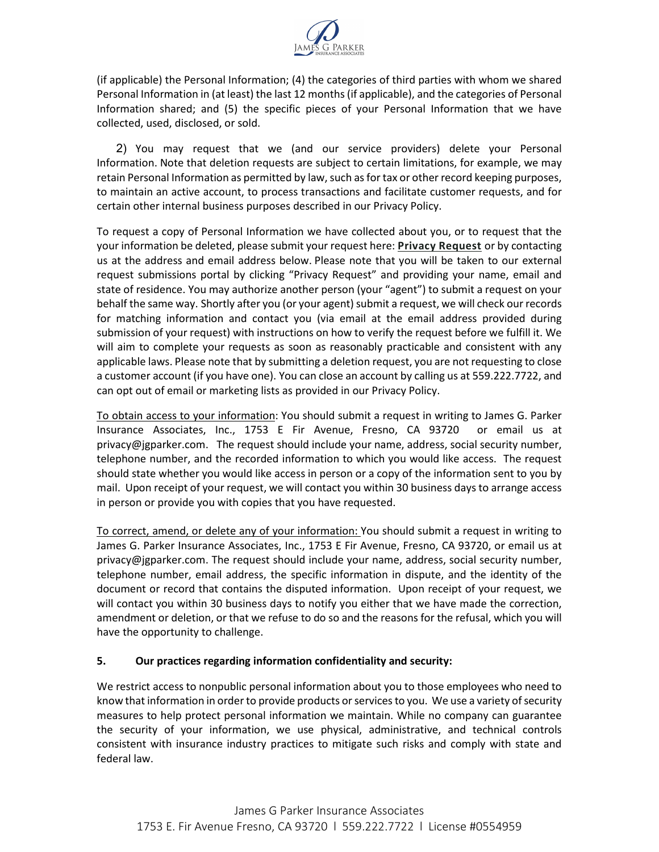

(if applicable) the Personal Information; (4) the categories of third parties with whom we shared Personal Information in (at least) the last 12 months (if applicable), and the categories of Personal Information shared; and (5) the specific pieces of your Personal Information that we have collected, used, disclosed, or sold.

2) You may request that we (and our service providers) delete your Personal Information. Note that deletion requests are subject to certain limitations, for example, we may retain Personal Information as permitted by law, such as for tax or other record keeping purposes, to maintain an active account, to process transactions and facilitate customer requests, and for certain other internal business purposes described in our Privacy Policy.

To request a copy of Personal Information we have collected about you, or to request that the your information be deleted, please submit your request here: **[Privacy Request](https://privacyportal-cdn.onetrust.com/dsarwebform/2ba4c98a-9bac-403d-a54c-fec8af5651b6/9dbab477-f877-47e6-8626-a6408b654aeb.html)** or by contacting us at the address and email address below. Please note that you will be taken to our external request submissions portal by clicking "Privacy Request" and providing your name, email and state of residence. You may authorize another person (your "agent") to submit a request on your behalf the same way. Shortly after you (or your agent) submit a request, we will check our records for matching information and contact you (via email at the email address provided during submission of your request) with instructions on how to verify the request before we fulfill it. We will aim to complete your requests as soon as reasonably practicable and consistent with any applicable laws. Please note that by submitting a deletion request, you are not requesting to close a customer account (if you have one). You can close an account by calling us at 559.222.7722, and can opt out of email or marketing lists as provided in our Privacy Policy.

To obtain access to your information: You should submit a request in writing to James G. Parker Insurance Associates, Inc., 1753 E Fir Avenue, Fresno, CA 93720 or email us at privacy@jgparker.com. The request should include your name, address, social security number, telephone number, and the recorded information to which you would like access. The request should state whether you would like access in person or a copy of the information sent to you by mail. Upon receipt of your request, we will contact you within 30 business days to arrange access in person or provide you with copies that you have requested.

To correct, amend, or delete any of your information: You should submit a request in writing to James G. Parker Insurance Associates, Inc., 1753 E Fir Avenue, Fresno, CA 93720, or email us at privacy@jgparker.com. The request should include your name, address, social security number, telephone number, email address, the specific information in dispute, and the identity of the document or record that contains the disputed information. Upon receipt of your request, we will contact you within 30 business days to notify you either that we have made the correction, amendment or deletion, or that we refuse to do so and the reasons for the refusal, which you will have the opportunity to challenge.

#### **5. Our practices regarding information confidentiality and security:**

We restrict access to nonpublic personal information about you to those employees who need to know that information in order to provide products or services to you. We use a variety of security measures to help protect personal information we maintain. While no company can guarantee the security of your information, we use physical, administrative, and technical controls consistent with insurance industry practices to mitigate such risks and comply with state and federal law.